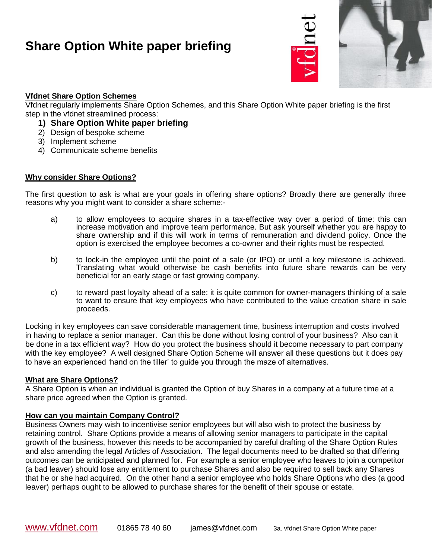

### **Vfdnet Share Option Schemes**

Vfdnet regularly implements Share Option Schemes, and this Share Option White paper briefing is the first step in the vfdnet streamlined process:

- **1) Share Option White paper briefing**
- 2) Design of bespoke scheme
- 3) Implement scheme
- 4) Communicate scheme benefits

#### **Why consider Share Options?**

The first question to ask is what are your goals in offering share options? Broadly there are generally three reasons why you might want to consider a share scheme:-

- a) to allow employees to acquire shares in a tax-effective way over a period of time: this can increase motivation and improve team performance. But ask yourself whether you are happy to share ownership and if this will work in terms of remuneration and dividend policy. Once the option is exercised the employee becomes a co-owner and their rights must be respected.
- b) to lock-in the employee until the point of a sale (or IPO) or until a key milestone is achieved. Translating what would otherwise be cash benefits into future share rewards can be very beneficial for an early stage or fast growing company.
- c) to reward past loyalty ahead of a sale: it is quite common for owner-managers thinking of a sale to want to ensure that key employees who have contributed to the value creation share in sale proceeds.

Locking in key employees can save considerable management time, business interruption and costs involved in having to replace a senior manager. Can this be done without losing control of your business? Also can it be done in a tax efficient way? How do you protect the business should it become necessary to part company with the key employee? A well designed Share Option Scheme will answer all these questions but it does pay to have an experienced 'hand on the tiller' to guide you through the maze of alternatives.

### **What are Share Options?**

A Share Option is when an individual is granted the Option of buy Shares in a company at a future time at a share price agreed when the Option is granted.

#### **How can you maintain Company Control?**

Business Owners may wish to incentivise senior employees but will also wish to protect the business by retaining control. Share Options provide a means of allowing senior managers to participate in the capital growth of the business, however this needs to be accompanied by careful drafting of the Share Option Rules and also amending the legal Articles of Association. The legal documents need to be drafted so that differing outcomes can be anticipated and planned for. For example a senior employee who leaves to join a competitor (a bad leaver) should lose any entitlement to purchase Shares and also be required to sell back any Shares that he or she had acquired. On the other hand a senior employee who holds Share Options who dies (a good leaver) perhaps ought to be allowed to purchase shares for the benefit of their spouse or estate.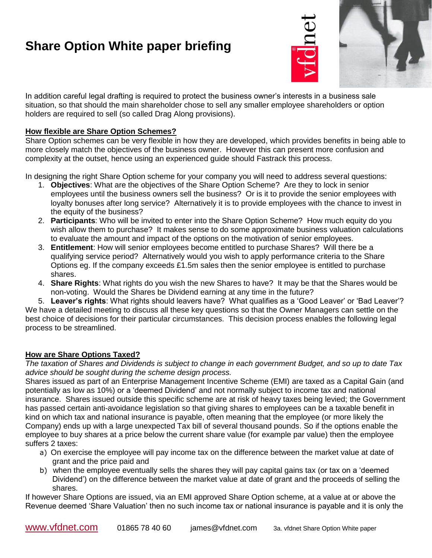

In addition careful legal drafting is required to protect the business owner's interests in a business sale situation, so that should the main shareholder chose to sell any smaller employee shareholders or option holders are required to sell (so called Drag Along provisions).

### **How flexible are Share Option Schemes?**

Share Option schemes can be very flexible in how they are developed, which provides benefits in being able to more closely match the objectives of the business owner. However this can present more confusion and complexity at the outset, hence using an experienced guide should Fastrack this process.

In designing the right Share Option scheme for your company you will need to address several questions:

- 1. **Objectives**: What are the objectives of the Share Option Scheme? Are they to lock in senior employees until the business owners sell the business? Or is it to provide the senior employees with loyalty bonuses after long service? Alternatively it is to provide employees with the chance to invest in the equity of the business?
- 2. **Participants**: Who will be invited to enter into the Share Option Scheme? How much equity do you wish allow them to purchase? It makes sense to do some approximate business valuation calculations to evaluate the amount and impact of the options on the motivation of senior employees.
- 3. **Entitlement**: How will senior employees become entitled to purchase Shares? Will there be a qualifying service period? Alternatively would you wish to apply performance criteria to the Share Options eg. If the company exceeds £1.5m sales then the senior employee is entitled to purchase shares.
- 4. **Share Rights**: What rights do you wish the new Shares to have? It may be that the Shares would be non-voting. Would the Shares be Dividend earning at any time in the future?

5. **Leaver's rights**: What rights should leavers have? What qualifies as a 'Good Leaver' or 'Bad Leaver'? We have a detailed meeting to discuss all these key questions so that the Owner Managers can settle on the best choice of decisions for their particular circumstances. This decision process enables the following legal process to be streamlined.

## **How are Share Options Taxed?**

*The taxation of Shares and Dividends is subject to change in each government Budget, and so up to date Tax advice should be sought during the scheme design process.*

Shares issued as part of an Enterprise Management Incentive Scheme (EMI) are taxed as a Capital Gain (and potentially as low as 10%) or a 'deemed Dividend' and not normally subject to income tax and national insurance. Shares issued outside this specific scheme are at risk of heavy taxes being levied; the Government has passed certain anti-avoidance legislation so that giving shares to employees can be a taxable benefit in kind on which tax and national insurance is payable, often meaning that the employee (or more likely the Company) ends up with a large unexpected Tax bill of several thousand pounds. So if the options enable the employee to buy shares at a price below the current share value (for example par value) then the employee suffers 2 taxes:

- a) On exercise the employee will pay income tax on the difference between the market value at date of grant and the price paid and
- b) when the employee eventually sells the shares they will pay capital gains tax (or tax on a 'deemed Dividend') on the difference between the market value at date of grant and the proceeds of selling the shares.

If however Share Options are issued, via an EMI approved Share Option scheme, at a value at or above the Revenue deemed 'Share Valuation' then no such income tax or national insurance is payable and it is only the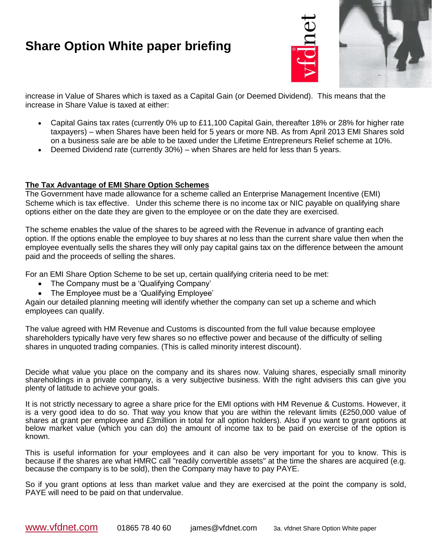

increase in Value of Shares which is taxed as a Capital Gain (or Deemed Dividend). This means that the increase in Share Value is taxed at either:

- Capital Gains tax rates (currently 0% up to £11,100 Capital Gain, thereafter 18% or 28% for higher rate taxpayers) – when Shares have been held for 5 years or more NB. As from April 2013 EMI Shares sold on a business sale are be able to be taxed under the Lifetime Entrepreneurs Relief scheme at 10%.
- Deemed Dividend rate (currently 30%) when Shares are held for less than 5 years.

#### **The Tax Advantage of EMI Share Option Schemes**

The Government have made allowance for a scheme called an Enterprise Management Incentive (EMI) Scheme which is tax effective. Under this scheme there is no income tax or NIC payable on qualifying share options either on the date they are given to the employee or on the date they are exercised.

The scheme enables the value of the shares to be agreed with the Revenue in advance of granting each option. If the options enable the employee to buy shares at no less than the current share value then when the employee eventually sells the shares they will only pay capital gains tax on the difference between the amount paid and the proceeds of selling the shares.

For an EMI Share Option Scheme to be set up, certain qualifying criteria need to be met:

- The Company must be a 'Qualifying Company'
- The Employee must be a 'Qualifying Employee'

Again our detailed planning meeting will identify whether the company can set up a scheme and which employees can qualify.

The value agreed with HM Revenue and Customs is discounted from the full value because employee shareholders typically have very few shares so no effective power and because of the difficulty of selling shares in unquoted trading companies. (This is called minority interest discount).

Decide what value you place on the company and its shares now. Valuing shares, especially small minority shareholdings in a private company, is a very subjective business. With the right advisers this can give you plenty of latitude to achieve your goals.

It is not strictly necessary to agree a share price for the EMI options with HM Revenue & Customs. However, it is a very good idea to do so. That way you know that you are within the relevant limits (£250,000 value of shares at grant per employee and £3million in total for all option holders). Also if you want to grant options at below market value (which you can do) the amount of income tax to be paid on exercise of the option is known.

This is useful information for your employees and it can also be very important for you to know. This is because if the shares are what HMRC call "readily convertible assets" at the time the shares are acquired (e.g. because the company is to be sold), then the Company may have to pay PAYE.

So if you grant options at less than market value and they are exercised at the point the company is sold, PAYE will need to be paid on that undervalue.